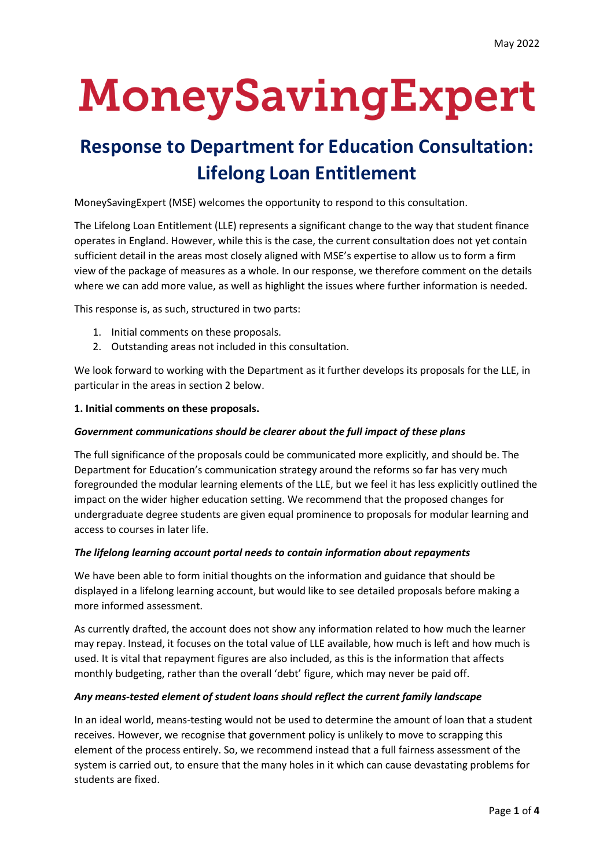# MoneySavingExpert

# **Response to Department for Education Consultation: Lifelong Loan Entitlement**

MoneySavingExpert (MSE) welcomes the opportunity to respond to this consultation.

The Lifelong Loan Entitlement (LLE) represents a significant change to the way that student finance operates in England. However, while this is the case, the current consultation does not yet contain sufficient detail in the areas most closely aligned with MSE's expertise to allow us to form a firm view of the package of measures as a whole. In our response, we therefore comment on the details where we can add more value, as well as highlight the issues where further information is needed.

This response is, as such, structured in two parts:

- 1. Initial comments on these proposals.
- 2. Outstanding areas not included in this consultation.

We look forward to working with the Department as it further develops its proposals for the LLE, in particular in the areas in section 2 below.

#### **1. Initial comments on these proposals.**

#### *Government communications should be clearer about the full impact of these plans*

The full significance of the proposals could be communicated more explicitly, and should be. The Department for Education's communication strategy around the reforms so far has very much foregrounded the modular learning elements of the LLE, but we feel it has less explicitly outlined the impact on the wider higher education setting. We recommend that the proposed changes for undergraduate degree students are given equal prominence to proposals for modular learning and access to courses in later life.

#### *The lifelong learning account portal needs to contain information about repayments*

We have been able to form initial thoughts on the information and guidance that should be displayed in a lifelong learning account, but would like to see detailed proposals before making a more informed assessment.

As currently drafted, the account does not show any information related to how much the learner may repay. Instead, it focuses on the total value of LLE available, how much is left and how much is used. It is vital that repayment figures are also included, as this is the information that affects monthly budgeting, rather than the overall 'debt' figure, which may never be paid off.

#### *Any means-tested element of student loans should reflect the current family landscape*

In an ideal world, means-testing would not be used to determine the amount of loan that a student receives. However, we recognise that government policy is unlikely to move to scrapping this element of the process entirely. So, we recommend instead that a full fairness assessment of the system is carried out, to ensure that the many holes in it which can cause devastating problems for students are fixed.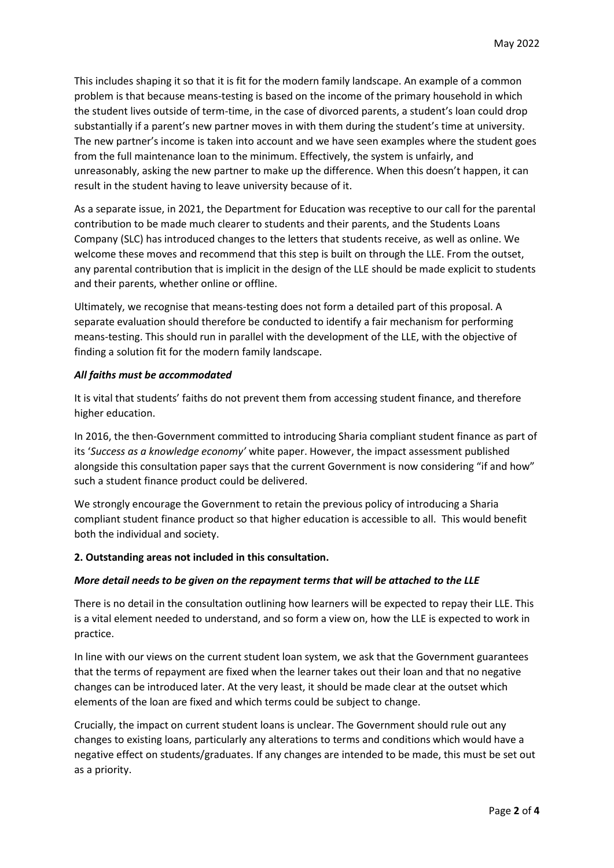This includes shaping it so that it is fit for the modern family landscape. An example of a common problem is that because means-testing is based on the income of the primary household in which the student lives outside of term-time, in the case of divorced parents, a student's loan could drop substantially if a parent's new partner moves in with them during the student's time at university. The new partner's income is taken into account and we have seen examples where the student goes from the full maintenance loan to the minimum. Effectively, the system is unfairly, and unreasonably, asking the new partner to make up the difference. When this doesn't happen, it can result in the student having to leave university because of it.

As a separate issue, in 2021, the Department for Education was receptive to our call for the parental contribution to be made much clearer to students and their parents, and the Students Loans Company (SLC) has introduced changes to the letters that students receive, as well as online. We welcome these moves and recommend that this step is built on through the LLE. From the outset, any parental contribution that is implicit in the design of the LLE should be made explicit to students and their parents, whether online or offline.

Ultimately, we recognise that means-testing does not form a detailed part of this proposal. A separate evaluation should therefore be conducted to identify a fair mechanism for performing means-testing. This should run in parallel with the development of the LLE, with the objective of finding a solution fit for the modern family landscape.

#### *All faiths must be accommodated*

It is vital that students' faiths do not prevent them from accessing student finance, and therefore higher education.

In 2016, the then-Government committed to introducing Sharia compliant student finance as part of its '*Success as a knowledge economy'* white paper. However, the impact assessment published alongside this consultation paper says that the current Government is now considering "if and how" such a student finance product could be delivered.

We strongly encourage the Government to retain the previous policy of introducing a Sharia compliant student finance product so that higher education is accessible to all. This would benefit both the individual and society.

#### **2. Outstanding areas not included in this consultation.**

#### *More detail needs to be given on the repayment terms that will be attached to the LLE*

There is no detail in the consultation outlining how learners will be expected to repay their LLE. This is a vital element needed to understand, and so form a view on, how the LLE is expected to work in practice.

In line with our views on the current student loan system, we ask that the Government guarantees that the terms of repayment are fixed when the learner takes out their loan and that no negative changes can be introduced later. At the very least, it should be made clear at the outset which elements of the loan are fixed and which terms could be subject to change.

Crucially, the impact on current student loans is unclear. The Government should rule out any changes to existing loans, particularly any alterations to terms and conditions which would have a negative effect on students/graduates. If any changes are intended to be made, this must be set out as a priority.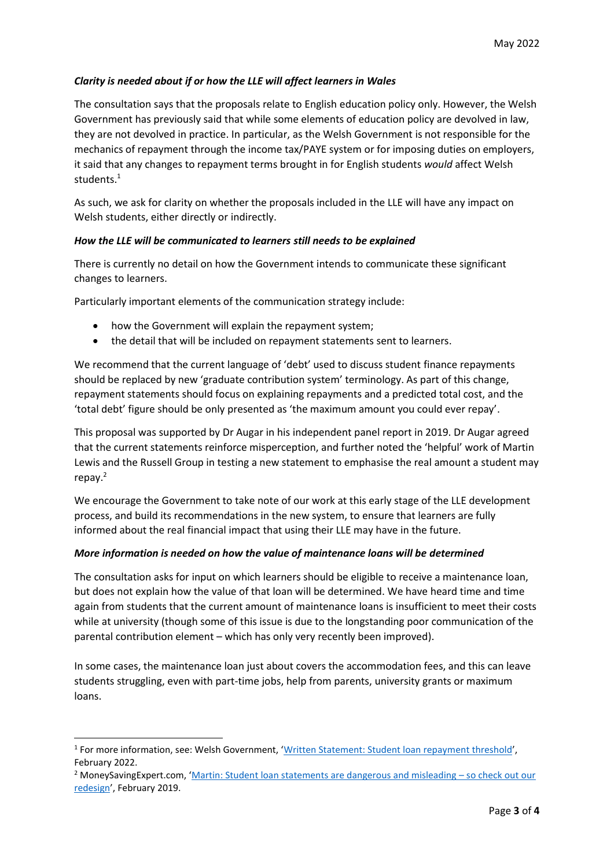## *Clarity is needed about if or how the LLE will affect learners in Wales*

The consultation says that the proposals relate to English education policy only. However, the Welsh Government has previously said that while some elements of education policy are devolved in law, they are not devolved in practice. In particular, as the Welsh Government is not responsible for the mechanics of repayment through the income tax/PAYE system or for imposing duties on employers, it said that any changes to repayment terms brought in for English students *would* affect Welsh students.<sup>1</sup>

As such, we ask for clarity on whether the proposals included in the LLE will have any impact on Welsh students, either directly or indirectly.

## *How the LLE will be communicated to learners still needs to be explained*

There is currently no detail on how the Government intends to communicate these significant changes to learners.

Particularly important elements of the communication strategy include:

- how the Government will explain the repayment system;
- the detail that will be included on repayment statements sent to learners.

We recommend that the current language of 'debt' used to discuss student finance repayments should be replaced by new 'graduate contribution system' terminology. As part of this change, repayment statements should focus on explaining repayments and a predicted total cost, and the 'total debt' figure should be only presented as 'the maximum amount you could ever repay'.

This proposal was supported by Dr Augar in his independent panel report in 2019. Dr Augar agreed that the current statements reinforce misperception, and further noted the 'helpful' work of Martin Lewis and the Russell Group in testing a new statement to emphasise the real amount a student may repay.<sup>2</sup>

We encourage the Government to take note of our work at this early stage of the LLE development process, and build its recommendations in the new system, to ensure that learners are fully informed about the real financial impact that using their LLE may have in the future.

#### *More information is needed on how the value of maintenance loans will be determined*

The consultation asks for input on which learners should be eligible to receive a maintenance loan, but does not explain how the value of that loan will be determined. We have heard time and time again from students that the current amount of maintenance loans is insufficient to meet their costs while at university (though some of this issue is due to the longstanding poor communication of the parental contribution element – which has only very recently been improved).

In some cases, the maintenance loan just about covers the accommodation fees, and this can leave students struggling, even with part-time jobs, help from parents, university grants or maximum loans.

<sup>&</sup>lt;sup>1</sup> For more information, see: Welsh Government, '<u>[Written Statement: Student loan repayment threshold](https://gov.wales/written-statement-student-loan-repayment-threshold)',</u> February 2022.

<sup>2</sup> MoneySavingExpert.com, '[Martin: Student loan statements are dangerous and misleading](https://www.moneysavingexpert.com/news/2019/02/mse-and-the-russell-group-of-universities-begin-testing-a-radica/) – so check out our [redesign](https://www.moneysavingexpert.com/news/2019/02/mse-and-the-russell-group-of-universities-begin-testing-a-radica/)', February 2019.